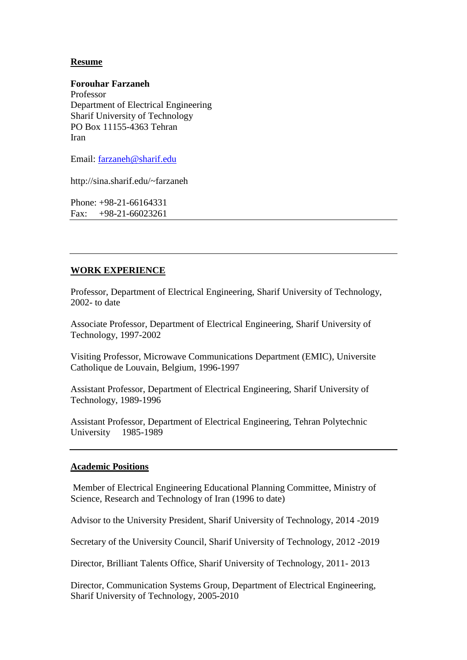# **Resume**

**Forouhar Farzaneh** Professor Department of Electrical Engineering Sharif University of Technology PO Box 11155-4363 Tehran Iran

Email: [farzaneh@sharif.edu](mailto:farzaneh@sharif.edu)

http://sina.sharif.edu/~farzaneh

Phone: +98-21-66164331  $Fax: +98-21-66023261$ 

# **WORK EXPERIENCE**

Professor, Department of Electrical Engineering, Sharif University of Technology, 2002- to date

Associate Professor, Department of Electrical Engineering, Sharif University of Technology, 1997-2002

Visiting Professor, Microwave Communications Department (EMIC), Universite Catholique de Louvain, Belgium, 1996-1997

Assistant Professor, Department of Electrical Engineering, Sharif University of Technology, 1989-1996

Assistant Professor, Department of Electrical Engineering, Tehran Polytechnic University 1985-1989

#### **Academic Positions**

Member of Electrical Engineering Educational Planning Committee, Ministry of Science, Research and Technology of Iran (1996 to date)

Advisor to the University President, Sharif University of Technology, 2014 -2019

Secretary of the University Council, Sharif University of Technology, 2012 -2019

Director, Brilliant Talents Office, Sharif University of Technology, 2011- 2013

Director, Communication Systems Group, Department of Electrical Engineering, Sharif University of Technology, 2005-2010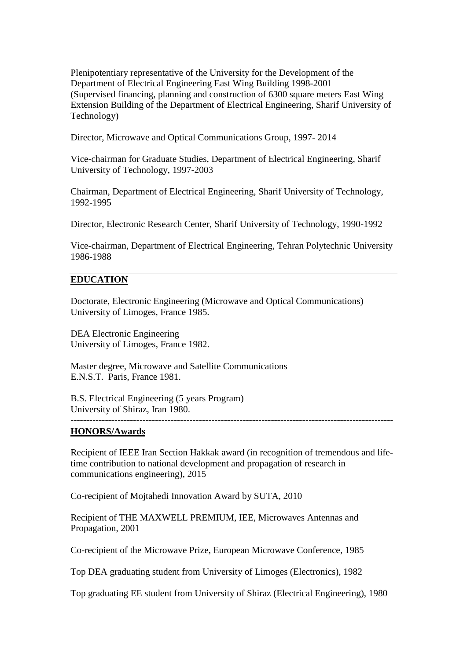Plenipotentiary representative of the University for the Development of the Department of Electrical Engineering East Wing Building 1998-2001 (Supervised financing, planning and construction of 6300 square meters East Wing Extension Building of the Department of Electrical Engineering, Sharif University of Technology)

Director, Microwave and Optical Communications Group, 1997- 2014

Vice-chairman for Graduate Studies, Department of Electrical Engineering, Sharif University of Technology, 1997-2003

Chairman, Department of Electrical Engineering, Sharif University of Technology, 1992-1995

Director, Electronic Research Center, Sharif University of Technology, 1990-1992

Vice-chairman, Department of Electrical Engineering, Tehran Polytechnic University 1986-1988

### **EDUCATION**

Doctorate, Electronic Engineering (Microwave and Optical Communications) University of Limoges, France 1985.

DEA Electronic Engineering University of Limoges, France 1982.

Master degree, Microwave and Satellite Communications E.N.S.T. Paris, France 1981.

B.S. Electrical Engineering (5 years Program) University of Shiraz, Iran 1980.

### -------------------------------------------------------------------------------------------------------

### **HONORS/Awards**

Recipient of IEEE Iran Section Hakkak award (in recognition of tremendous and lifetime contribution to national development and propagation of research in communications engineering), 2015

Co-recipient of Mojtahedi Innovation Award by SUTA, 2010

Recipient of THE MAXWELL PREMIUM, IEE, Microwaves Antennas and Propagation, 2001

Co-recipient of the Microwave Prize, European Microwave Conference, 1985

Top DEA graduating student from University of Limoges (Electronics), 1982

Top graduating EE student from University of Shiraz (Electrical Engineering), 1980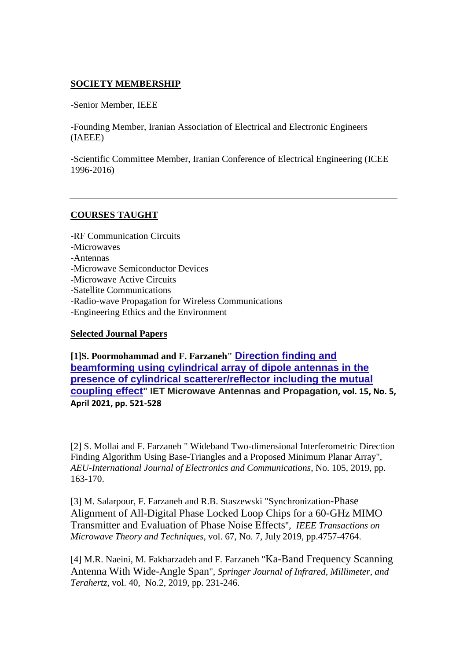# **SOCIETY MEMBERSHIP**

-Senior Member, IEEE

-Founding Member, Iranian Association of Electrical and Electronic Engineers (IAEEE)

-Scientific Committee Member, Iranian Conference of Electrical Engineering (ICEE 1996-2016)

# **COURSES TAUGHT**

-RF Communication Circuits

- -Microwaves
- -Antennas
- -Microwave Semiconductor Devices
- -Microwave Active Circuits
- -Satellite Communications
- -Radio-wave Propagation for Wireless Communications
- -Engineering Ethics and the Environment

# **Selected Journal Papers**

**[1]S. Poormohammad and F. Farzaneh" [Direction finding and](https://ietresearch.onlinelibrary.wiley.com/doi/abs/10.1049/mia2.12072)  [beamforming using cylindrical array of dipole antennas in the](https://ietresearch.onlinelibrary.wiley.com/doi/abs/10.1049/mia2.12072)  [presence of cylindrical scatterer/reflector including the mutual](https://ietresearch.onlinelibrary.wiley.com/doi/abs/10.1049/mia2.12072)  [coupling effect](https://ietresearch.onlinelibrary.wiley.com/doi/abs/10.1049/mia2.12072)" IET Microwave Antennas and Propagation, vol. 15, No. 5, April 2021, pp. 521-528**

[2] S. Mollai and F. Farzaneh " Wideband Two-dimensional Interferometric Direction Finding Algorithm Using Base-Triangles and a Proposed Minimum Planar Array", *AEU-International Journal of Electronics and Communications*, No. 105, 2019, pp. 163-170.

[3] M. Salarpour, F. Farzaneh and R.B. Staszewski "Synchronization-Phase Alignment of All-Digital Phase Locked Loop Chips for a 60-GHz MIMO Transmitter and Evaluation of Phase Noise Effects", *IEEE Transactions on Microwave Theory and Techniques*, vol. 67, No. 7, July 2019, pp.4757-4764.

[4] M.R. Naeini, M. Fakharzadeh and F. Farzaneh "Ka-Band Frequency Scanning Antenna With Wide-Angle Span", *Springer Journal of Infrared, Millimeter, and Terahertz,* vol. 40, No.2, 2019, pp. 231-246.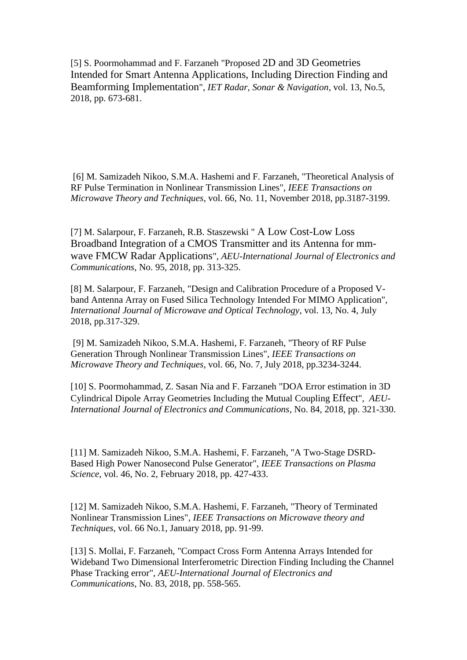[5] S. Poormohammad and F. Farzaneh "Proposed 2D and 3D Geometries Intended for Smart Antenna Applications, Including Direction Finding and Beamforming Implementation", *IET Radar, Sonar & Navigation*, vol. 13, No.5, 2018, pp. 673-681.

[6] M. Samizadeh Nikoo, S.M.A. Hashemi and F. Farzaneh, "Theoretical Analysis of RF Pulse Termination in Nonlinear Transmission Lines", *IEEE Transactions on Microwave Theory and Techniques*, vol. 66, No. 11, November 2018, pp.3187-3199.

[7] M. Salarpour, F. Farzaneh, R.B. Staszewski " A Low Cost-Low Loss Broadband Integration of a CMOS Transmitter and its Antenna for mmwave FMCW Radar Applications", *AEU-International Journal of Electronics and Communications*, No. 95, 2018, pp. 313-325.

[8] M. Salarpour, F. Farzaneh, "Design and Calibration Procedure of a Proposed Vband Antenna Array on Fused Silica Technology Intended For MIMO Application", *International Journal of Microwave and Optical Technology*, vol. 13, No. 4, July 2018, pp.317-329.

[9] M. Samizadeh Nikoo, S.M.A. Hashemi, F. Farzaneh, "Theory of RF Pulse Generation Through Nonlinear Transmission Lines", *IEEE Transactions on Microwave Theory and Techniques*, vol. 66, No. 7, July 2018, pp.3234-3244.

[10] S. Poormohammad, Z. Sasan Nia and F. Farzaneh "DOA Error estimation in 3D Cylindrical Dipole Array Geometries Including the Mutual Coupling Effect", *AEU-International Journal of Electronics and Communications*, No. 84, 2018, pp. 321-330.

[11] M. Samizadeh Nikoo, S.M.A. Hashemi, F. Farzaneh, "A Two-Stage DSRD-Based High Power Nanosecond Pulse Generator", *IEEE Transactions on Plasma Science*, vol. 46, No. 2, February 2018, pp. 427-433.

[12] M. Samizadeh Nikoo, S.M.A. Hashemi, F. Farzaneh, "Theory of Terminated Nonlinear Transmission Lines", *IEEE Transactions on Microwave theory and Techniques*, vol. 66 No.1, January 2018, pp. 91-99.

[13] S. Mollai, F. Farzaneh, "Compact Cross Form Antenna Arrays Intended for Wideband Two Dimensional Interferometric Direction Finding Including the Channel Phase Tracking error", *AEU-International Journal of Electronics and Communications*, No. 83, 2018, pp. 558-565.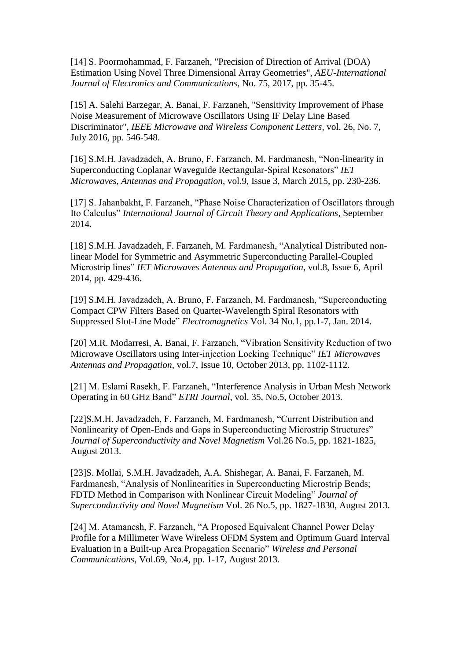[14] S. Poormohammad, F. Farzaneh, "Precision of Direction of Arrival (DOA) Estimation Using Novel Three Dimensional Array Geometries", *AEU-International Journal of Electronics and Communications*, No. 75, 2017, pp. 35-45.

[15] A. Salehi Barzegar, A. Banai, F. Farzaneh, "Sensitivity Improvement of Phase Noise Measurement of Microwave Oscillators Using IF Delay Line Based Discriminator", *IEEE Microwave and Wireless Component Letters*, vol. 26, No. 7, July 2016, pp. 546-548.

[16] S.M.H. Javadzadeh, A. Bruno, F. Farzaneh, M. Fardmanesh, "Non-linearity in Superconducting Coplanar Waveguide Rectangular-Spiral Resonators" *IET Microwaves, Antennas and Propagation*, vol.9, Issue 3, March 2015, pp. 230-236.

[17] S. Jahanbakht, F. Farzaneh, "Phase Noise Characterization of Oscillators through Ito Calculus" *International Journal of Circuit Theory and Applications*, September 2014.

[18] S.M.H. Javadzadeh, F. Farzaneh, M. Fardmanesh, "Analytical Distributed nonlinear Model for Symmetric and Asymmetric Superconducting Parallel-Coupled Microstrip lines" *IET Microwaves Antennas and Propagation*, vol.8, Issue 6, April 2014, pp. 429-436.

[19] S.M.H. Javadzadeh, A. Bruno, F. Farzaneh, M. Fardmanesh, "Superconducting Compact CPW Filters Based on Quarter-Wavelength Spiral Resonators with Suppressed Slot-Line Mode" *Electromagnetics* Vol. 34 No.1, pp.1-7, Jan. 2014.

[20] M.R. Modarresi, A. Banai, F. Farzaneh, "Vibration Sensitivity Reduction of two Microwave Oscillators using Inter-injection Locking Technique" *IET Microwaves Antennas and Propagation*, vol.7, Issue 10, October 2013, pp. 1102-1112.

[21] M. Eslami Rasekh, F. Farzaneh, "Interference Analysis in Urban Mesh Network Operating in 60 GHz Band" *ETRI Journal*, vol. 35, No.5, October 2013.

[22]S.M.H. Javadzadeh, F. Farzaneh, M. Fardmanesh, "Current Distribution and Nonlinearity of Open-Ends and Gaps in Superconducting Microstrip Structures" *Journal of Superconductivity and Novel Magnetism* Vol.26 No.5, pp. 1821-1825, August 2013.

[23]S. Mollai, S.M.H. Javadzadeh, A.A. Shishegar, A. Banai, F. Farzaneh, M. Fardmanesh, "Analysis of Nonlinearities in Superconducting Microstrip Bends; FDTD Method in Comparison with Nonlinear Circuit Modeling" *Journal of Superconductivity and Novel Magnetism* Vol. 26 No.5, pp. 1827-1830, August 2013.

[24] M. Atamanesh, F. Farzaneh, "A Proposed Equivalent Channel Power Delay Profile for a Millimeter Wave Wireless OFDM System and Optimum Guard Interval Evaluation in a Built-up Area Propagation Scenario" *Wireless and Personal Communications*, Vol.69, No.4, pp. 1-17, August 2013.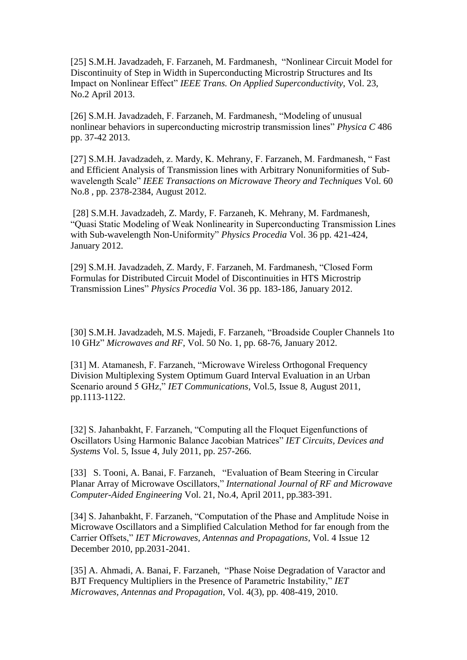[25] S.M.H. Javadzadeh, F. Farzaneh, M. Fardmanesh, "Nonlinear Circuit Model for Discontinuity of Step in Width in Superconducting Microstrip Structures and Its Impact on Nonlinear Effect" *IEEE Trans. On Applied Superconductivity*, Vol. 23, No.2 April 2013.

[26] S.M.H. Javadzadeh, F. Farzaneh, M. Fardmanesh, "Modeling of unusual nonlinear behaviors in superconducting microstrip transmission lines" *Physica C* 486 pp. 37-42 2013.

[27] S.M.H. Javadzadeh, z. Mardy, K. Mehrany, F. Farzaneh, M. Fardmanesh, " Fast and Efficient Analysis of Transmission lines with Arbitrary Nonuniformities of Subwavelength Scale" *IEEE Transactions on Microwave Theory and Techniques* Vol. 60 No.8 , pp. 2378-2384, August 2012.

[28] S.M.H. Javadzadeh, Z. Mardy, F. Farzaneh, K. Mehrany, M. Fardmanesh, "Quasi Static Modeling of Weak Nonlinearity in Superconducting Transmission Lines with Sub-wavelength Non-Uniformity" *Physics Procedia* Vol. 36 pp. 421-424, January 2012.

[29] S.M.H. Javadzadeh, Z. Mardy, F. Farzaneh, M. Fardmanesh, "Closed Form Formulas for Distributed Circuit Model of Discontinuities in HTS Microstrip Transmission Lines" *Physics Procedia* Vol. 36 pp. 183-186, January 2012.

[30] S.M.H. Javadzadeh, M.S. Majedi, F. Farzaneh, "Broadside Coupler Channels 1to 10 GHz" *Microwaves and RF*, Vol. 50 No. 1, pp. 68-76, January 2012.

[31] M. Atamanesh, F. Farzaneh, "Microwave Wireless Orthogonal Frequency Division Multiplexing System Optimum Guard Interval Evaluation in an Urban Scenario around 5 GHz," *IET Communications*, Vol.5, Issue 8, August 2011, pp.1113-1122.

[32] S. Jahanbakht, F. Farzaneh, "Computing all the Floquet Eigenfunctions of Oscillators Using Harmonic Balance Jacobian Matrices" *IET Circuits, Devices and Systems* Vol. 5, Issue 4, July 2011, pp. 257-266.

[33] S. Tooni, A. Banai, F. Farzaneh, "Evaluation of Beam Steering in Circular Planar Array of Microwave Oscillators," *International Journal of RF and Microwave Computer-Aided Engineering* Vol. 21, No.4, April 2011, pp.383-391.

[34] S. Jahanbakht, F. Farzaneh, "Computation of the Phase and Amplitude Noise in Microwave Oscillators and a Simplified Calculation Method for far enough from the Carrier Offsets," *IET Microwaves, Antennas and Propagations,* Vol. 4 Issue 12 December 2010, pp.2031-2041.

[35] A. Ahmadi, A. Banai, F. Farzaneh, "Phase Noise Degradation of Varactor and BJT Frequency Multipliers in the Presence of Parametric Instability," *IET Microwaves, Antennas and Propagation*, Vol. 4(3), pp. 408-419, 2010.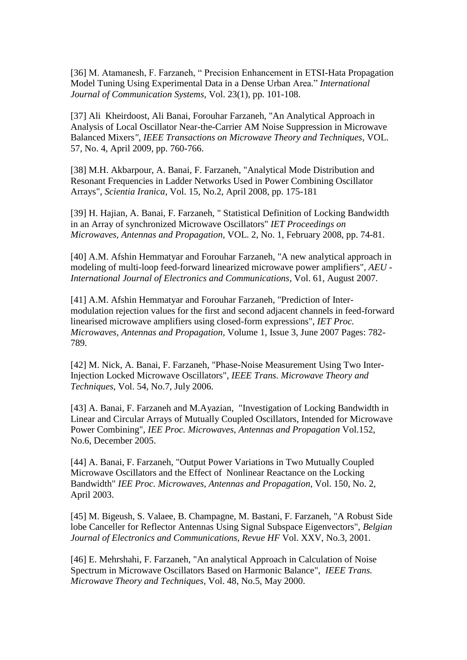[36] M. Atamanesh, F. Farzaneh, " Precision Enhancement in ETSI-Hata Propagation Model Tuning Using Experimental Data in a Dense Urban Area." *International Journal of Communication Systems,* Vol. 23(1), pp. 101-108.

[37] Ali Kheirdoost, Ali Banai, Forouhar Farzaneh, "An Analytical Approach in Analysis of Local Oscillator Near-the-Carrier AM Noise Suppression in Microwave Balanced Mixers*", IEEE Transactions on Microwave Theory and Techniques*, VOL. 57, No. 4, April 2009, pp. 760-766.

[38] M.H. Akbarpour, A. Banai, F. Farzaneh, "Analytical Mode Distribution and Resonant Frequencies in Ladder Networks Used in Power Combining Oscillator Arrays", *Scientia Iranica*, Vol. 15, No.2, April 2008, pp. 175-181

[39] H. Hajian, A. Banai, F. Farzaneh, " Statistical Definition of Locking Bandwidth in an Array of synchronized Microwave Oscillators" *IET Proceedings on Microwaves, Antennas and Propagation,* VOL. 2, No. 1, February 2008, pp. 74-81.

[40] A.M. Afshin Hemmatyar and Forouhar Farzaneh, "A new analytical approach in modeling of multi-loop feed-forward linearized microwave power amplifiers", *AEU - International Journal of Electronics and Communications*, Vol. 61, August 2007.

[41] A.M. Afshin Hemmatyar and Forouhar Farzaneh, "Prediction of Intermodulation rejection values for the first and second adjacent channels in feed-forward linearised microwave amplifiers using closed-form expressions", *IET Proc. Microwaves, Antennas and Propagation,* Volume 1, Issue 3, June 2007 Pages: 782- 789.

[42] M. Nick, A. Banai, F. Farzaneh, "Phase-Noise Measurement Using Two Inter-Injection Locked Microwave Oscillators", *IEEE Trans. Microwave Theory and Techniques*, Vol. 54, No.7, July 2006.

[43] A. Banai, F. Farzaneh and M.Ayazian, "Investigation of Locking Bandwidth in Linear and Circular Arrays of Mutually Coupled Oscillators, Intended for Microwave Power Combining", *IEE Proc. Microwaves, Antennas and Propagation* Vol.152, No.6, December 2005.

[44] A. Banai, F. Farzaneh, "Output Power Variations in Two Mutually Coupled Microwave Oscillators and the Effect of Nonlinear Reactance on the Locking Bandwidth" *IEE Proc. Microwaves, Antennas and Propagation*, Vol. 150, No. 2, April 2003.

[45] M. Bigeush, S. Valaee, B. Champagne, M. Bastani, F. Farzaneh, "A Robust Side lobe Canceller for Reflector Antennas Using Signal Subspace Eigenvectors", *Belgian Journal of Electronics and Communications, Revue HF* Vol. XXV, No.3, 2001.

[46] E. Mehrshahi, F. Farzaneh, "An analytical Approach in Calculation of Noise Spectrum in Microwave Oscillators Based on Harmonic Balance", *IEEE Trans. Microwave Theory and Techniques*, Vol. 48, No.5, May 2000.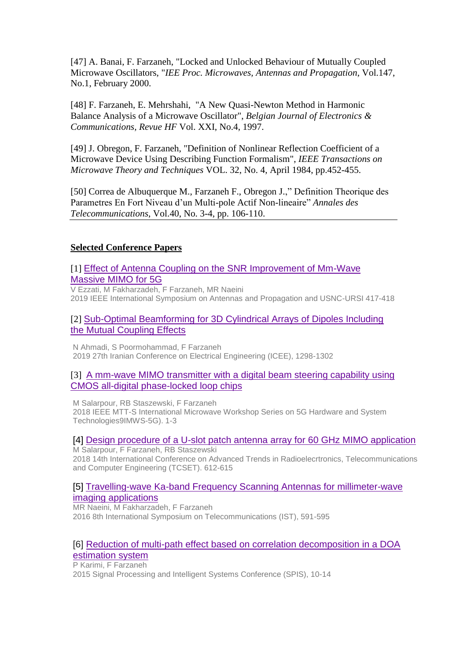[47] A. Banai, F. Farzaneh, "Locked and Unlocked Behaviour of Mutually Coupled Microwave Oscillators, "*IEE Proc. Microwaves, Antennas and Propagation*, Vol.147, No.1, February 2000.

[48] F. Farzaneh, E. Mehrshahi, "A New Quasi-Newton Method in Harmonic Balance Analysis of a Microwave Oscillator", *Belgian Journal of Electronics & Communications, Revue HF* Vol. XXI, No.4, 1997.

[49] J. Obregon, F. Farzaneh, "Definition of Nonlinear Reflection Coefficient of a Microwave Device Using Describing Function Formalism", *IEEE Transactions on Microwave Theory and Techniques* VOL. 32, No. 4, April 1984, pp.452-455.

[50] Correa de Albuquerque M., Farzaneh F., Obregon J.," Definition Theorique des Parametres En Fort Niveau d'un Multi-pole Actif Non-lineaire" *Annales des Telecommunications*, Vol.40, No. 3-4, pp. 106-110.

# **Selected Conference Papers**

[1] Effect of Antenna Coupling on the SNR Improvement of Mm-Wave [Massive MIMO for 5G](javascript:void(0))

V Ezzati, M Fakharzadeh, F Farzaneh, MR Naeini 2019 IEEE International Symposium on Antennas and Propagation and USNC-URSI 417-418

# [2] [Sub-Optimal Beamforming for 3D Cylindrical Arrays of Dipoles Including](javascript:void(0))  [the Mutual Coupling Effects](javascript:void(0))

N Ahmadi, S Poormohammad, F Farzaneh 2019 27th Iranian Conference on Electrical Engineering (ICEE), 1298-1302

### [3] A mm-wave MIMO transmitter with a digital beam steering capability using [CMOS all-digital phase-locked loop chips](javascript:void(0))

M Salarpour, RB Staszewski, F Farzaneh

2018 IEEE MTT-S International Microwave Workshop Series on 5G Hardware and System Technologies9IMWS-5G). 1-3

#### [4] [Design procedure of a U-slot patch antenna array for 60 GHz MIMO application](javascript:void(0)) M Salarpour, F Farzaneh, RB Staszewski

2018 14th International Conference on Advanced Trends in Radioelecrtronics, Telecommunications and Computer Engineering (TCSET). 612-615

# [5] [Travelling-wave Ka-band Frequency Scanning Antennas for millimeter-wave](javascript:void(0))  [imaging applications](javascript:void(0))

MR Naeini, M Fakharzadeh, F Farzaneh 2016 8th International Symposium on Telecommunications (IST), 591-595

# [6] [Reduction of multi-path effect based on correlation decomposition in a DOA](javascript:void(0))  [estimation system](javascript:void(0))

P Karimi, F Farzaneh 2015 Signal Processing and Intelligent Systems Conference (SPIS), 10-14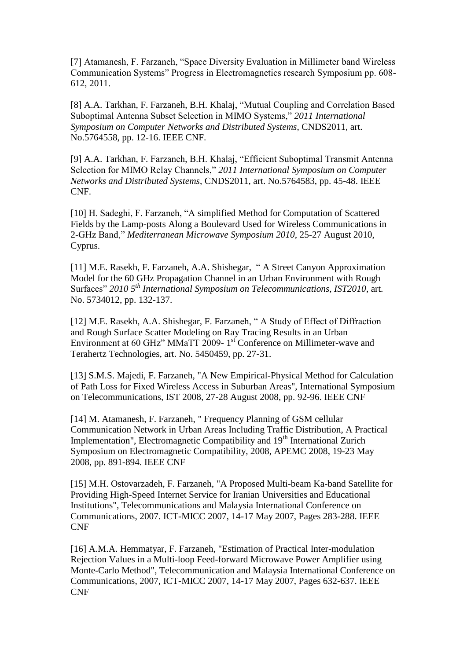[7] Atamanesh, F. Farzaneh, "Space Diversity Evaluation in Millimeter band Wireless Communication Systems" Progress in Electromagnetics research Symposium pp. 608- 612, 2011.

[8] A.A. Tarkhan, F. Farzaneh, B.H. Khalaj, "Mutual Coupling and Correlation Based Suboptimal Antenna Subset Selection in MIMO Systems," *2011 International Symposium on Computer Networks and Distributed Systems*, CNDS2011, art. No.5764558, pp. 12-16. IEEE CNF.

[9] A.A. Tarkhan, F. Farzaneh, B.H. Khalaj, "Efficient Suboptimal Transmit Antenna Selection for MIMO Relay Channels," *2011 International Symposium on Computer Networks and Distributed Systems*, CNDS2011, art. No.5764583, pp. 45-48. IEEE CNF.

[10] H. Sadeghi, F. Farzaneh, "A simplified Method for Computation of Scattered Fields by the Lamp-posts Along a Boulevard Used for Wireless Communications in 2-GHz Band," *Mediterranean Microwave Symposium 2010*, 25-27 August 2010, Cyprus.

[11] M.E. Rasekh, F. Farzaneh, A.A. Shishegar, " A Street Canyon Approximation Model for the 60 GHz Propagation Channel in an Urban Environment with Rough Surfaces" *2010 5th International Symposium on Telecommunications, IST2010*, art. No. 5734012, pp. 132-137.

[12] M.E. Rasekh, A.A. Shishegar, F. Farzaneh, "A Study of Effect of Diffraction and Rough Surface Scatter Modeling on Ray Tracing Results in an Urban Environment at 60 GHz" MMaTT 2009-1<sup>st</sup> Conference on Millimeter-wave and Terahertz Technologies, art. No. 5450459, pp. 27-31.

[13] S.M.S. Majedi, F. Farzaneh, "A New Empirical-Physical Method for Calculation of Path Loss for Fixed Wireless Access in Suburban Areas", International Symposium on Telecommunications, IST 2008, 27-28 August 2008, pp. 92-96. IEEE CNF

[14] M. Atamanesh, F. Farzaneh, " Frequency Planning of GSM cellular Communication Network in Urban Areas Including Traffic Distribution, A Practical Implementation", Electromagnetic Compatibility and 19<sup>th</sup> International Zurich Symposium on Electromagnetic Compatibility, 2008, APEMC 2008, 19-23 May 2008, pp. 891-894. IEEE CNF

[15] M.H. Ostovarzadeh, F. Farzaneh, "A Proposed Multi-beam Ka-band Satellite for Providing High-Speed Internet Service for Iranian Universities and Educational Institutions", Telecommunications and Malaysia International Conference on Communications, 2007. ICT-MICC 2007, 14-17 May 2007, Pages 283-288. IEEE CNF

[16] A.M.A. Hemmatyar, F. Farzaneh, "Estimation of Practical Inter-modulation Rejection Values in a Multi-loop Feed-forward Microwave Power Amplifier using Monte-Carlo Method", Telecommunication and Malaysia International Conference on Communications, 2007, ICT-MICC 2007, 14-17 May 2007, Pages 632-637. IEEE CNF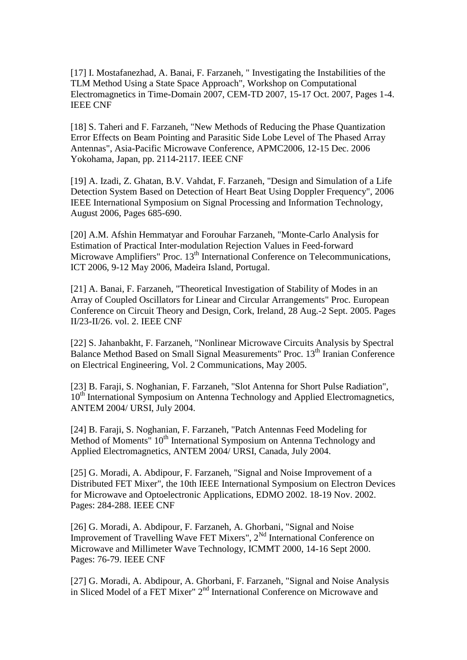[17] I. Mostafanezhad, A. Banai, F. Farzaneh, " Investigating the Instabilities of the TLM Method Using a State Space Approach", Workshop on Computational Electromagnetics in Time-Domain 2007, CEM-TD 2007, 15-17 Oct. 2007, Pages 1-4. IEEE CNF

[18] S. Taheri and F. Farzaneh, "New Methods of Reducing the Phase Quantization Error Effects on Beam Pointing and Parasitic Side Lobe Level of The Phased Array Antennas", Asia-Pacific Microwave Conference, APMC2006, 12-15 Dec. 2006 Yokohama, Japan, pp. 2114-2117. IEEE CNF

[19] A. Izadi, Z. Ghatan, B.V. Vahdat, F. Farzaneh, "Design and Simulation of a Life Detection System Based on Detection of Heart Beat Using Doppler Frequency", 2006 IEEE International Symposium on Signal Processing and Information Technology, August 2006, Pages 685-690.

[20] A.M. Afshin Hemmatyar and Forouhar Farzaneh, "Monte-Carlo Analysis for Estimation of Practical Inter-modulation Rejection Values in Feed-forward Microwave Amplifiers" Proc. 13<sup>th</sup> International Conference on Telecommunications, ICT 2006, 9-12 May 2006, Madeira Island, Portugal.

[21] A. Banai, F. Farzaneh, "Theoretical Investigation of Stability of Modes in an Array of Coupled Oscillators for Linear and Circular Arrangements" Proc. European Conference on Circuit Theory and Design, Cork, Ireland, 28 Aug.-2 Sept. 2005. Pages II/23-II/26. vol. 2. IEEE CNF

[22] S. Jahanbakht, F. Farzaneh, "Nonlinear Microwave Circuits Analysis by Spectral Balance Method Based on Small Signal Measurements" Proc. 13<sup>th</sup> Iranian Conference on Electrical Engineering, Vol. 2 Communications, May 2005.

[23] B. Faraji, S. Noghanian, F. Farzaneh, "Slot Antenna for Short Pulse Radiation", 10<sup>th</sup> International Symposium on Antenna Technology and Applied Electromagnetics, ANTEM 2004/ URSI, July 2004.

[24] B. Faraji, S. Noghanian, F. Farzaneh, "Patch Antennas Feed Modeling for Method of Moments" 10<sup>th</sup> International Symposium on Antenna Technology and Applied Electromagnetics, ANTEM 2004/ URSI, Canada, July 2004.

[25] G. Moradi, A. Abdipour, F. Farzaneh, "Signal and Noise Improvement of a Distributed FET Mixer", the 10th IEEE International Symposium on Electron Devices for Microwave and Optoelectronic Applications, EDMO 2002. 18-19 Nov. 2002. Pages: 284-288. IEEE CNF

[26] G. Moradi, A. Abdipour, F. Farzaneh, A. Ghorbani, "Signal and Noise Improvement of Travelling Wave FET Mixers",  $2^{Nd}$  International Conference on Microwave and Millimeter Wave Technology, ICMMT 2000, 14-16 Sept 2000. Pages: 76-79. IEEE CNF

[27] G. Moradi, A. Abdipour, A. Ghorbani, F. Farzaneh, "Signal and Noise Analysis in Sliced Model of a FET Mixer" 2nd International Conference on Microwave and